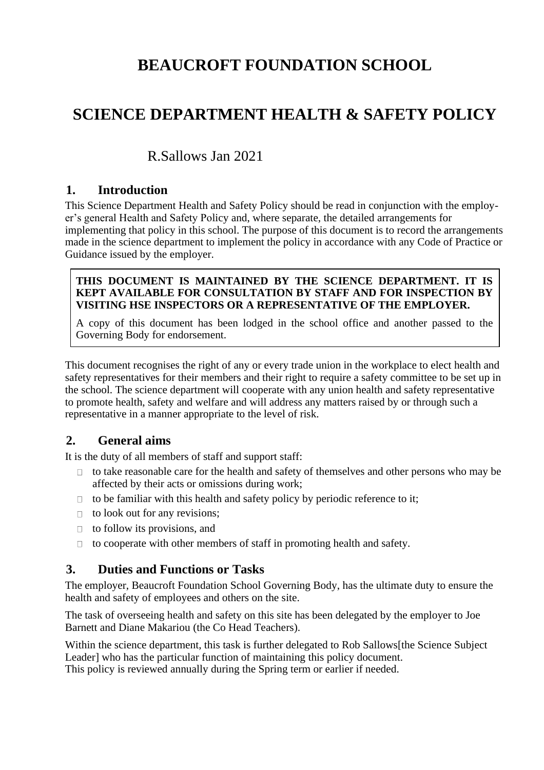# **BEAUCROFT FOUNDATION SCHOOL**

# **SCIENCE DEPARTMENT HEALTH & SAFETY POLICY**

# R.Sallows Jan 2021

# **1. Introduction**

This Science Department Health and Safety Policy should be read in conjunction with the employer's general Health and Safety Policy and, where separate, the detailed arrangements for implementing that policy in this school. The purpose of this document is to record the arrangements made in the science department to implement the policy in accordance with any Code of Practice or Guidance issued by the employer.

#### **THIS DOCUMENT IS MAINTAINED BY THE SCIENCE DEPARTMENT. IT IS KEPT AVAILABLE FOR CONSULTATION BY STAFF AND FOR INSPECTION BY VISITING HSE INSPECTORS OR A REPRESENTATIVE OF THE EMPLOYER.**

A copy of this document has been lodged in the school office and another passed to the Governing Body for endorsement.

This document recognises the right of any or every trade union in the workplace to elect health and safety representatives for their members and their right to require a safety committee to be set up in the school. The science department will cooperate with any union health and safety representative to promote health, safety and welfare and will address any matters raised by or through such a representative in a manner appropriate to the level of risk.

# **2. General aims**

It is the duty of all members of staff and support staff:

- $\Box$  to take reasonable care for the health and safety of themselves and other persons who may be affected by their acts or omissions during work;
- $\Box$  to be familiar with this health and safety policy by periodic reference to it;
- $\Box$  to look out for any revisions;
- $\Box$  to follow its provisions, and
- $\Box$  to cooperate with other members of staff in promoting health and safety.

# **3. Duties and Functions or Tasks**

The employer, Beaucroft Foundation School Governing Body, has the ultimate duty to ensure the health and safety of employees and others on the site.

The task of overseeing health and safety on this site has been delegated by the employer to Joe Barnett and Diane Makariou (the Co Head Teachers).

Within the science department, this task is further delegated to Rob Sallows[the Science Subject Leader] who has the particular function of maintaining this policy document. This policy is reviewed annually during the Spring term or earlier if needed.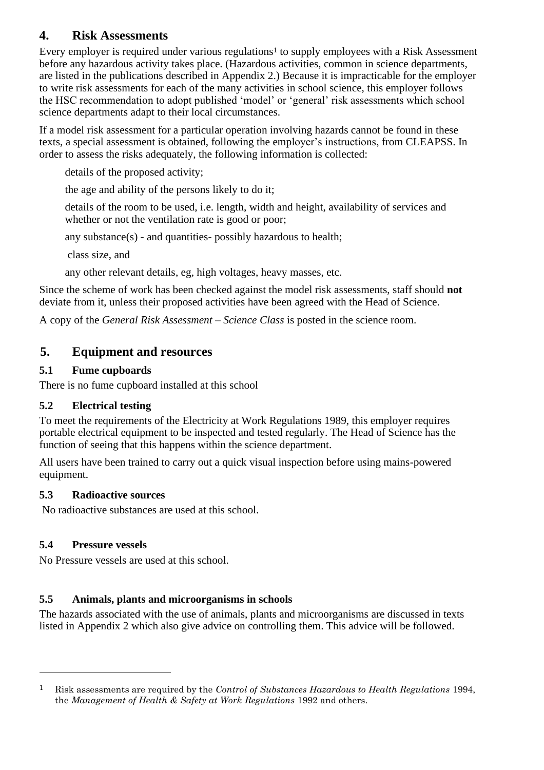# **4. Risk Assessments**

Every employer is required under various regulations<sup>1</sup> to supply employees with a Risk Assessment before any hazardous activity takes place. (Hazardous activities, common in science departments, are listed in the publications described in Appendix 2.) Because it is impracticable for the employer to write risk assessments for each of the many activities in school science, this employer follows the HSC recommendation to adopt published 'model' or 'general' risk assessments which school science departments adapt to their local circumstances.

If a model risk assessment for a particular operation involving hazards cannot be found in these texts, a special assessment is obtained, following the employer's instructions, from CLEAPSS. In order to assess the risks adequately, the following information is collected:

details of the proposed activity;

the age and ability of the persons likely to do it;

details of the room to be used, i.e. length, width and height, availability of services and whether or not the ventilation rate is good or poor;

any substance(s) - and quantities- possibly hazardous to health;

class size, and

any other relevant details, eg, high voltages, heavy masses, etc.

Since the scheme of work has been checked against the model risk assessments, staff should **not** deviate from it, unless their proposed activities have been agreed with the Head of Science.

A copy of the *General Risk Assessment – Science Class* is posted in the science room.

# **5. Equipment and resources**

### **5.1 Fume cupboards**

There is no fume cupboard installed at this school

### **5.2 Electrical testing**

To meet the requirements of the Electricity at Work Regulations 1989, this employer requires portable electrical equipment to be inspected and tested regularly. The Head of Science has the function of seeing that this happens within the science department.

All users have been trained to carry out a quick visual inspection before using mains-powered equipment.

### **5.3 Radioactive sources**

No radioactive substances are used at this school.

# **5.4 Pressure vessels**

No Pressure vessels are used at this school.

# **5.5 Animals, plants and microorganisms in schools**

The hazards associated with the use of animals, plants and microorganisms are discussed in texts listed in Appendix 2 which also give advice on controlling them. This advice will be followed.

<sup>1</sup> Risk assessments are required by the *Control of Substances Hazardous to Health Regulations* 1994, the *Management of Health & Safety at Work Regulations* 1992 and others.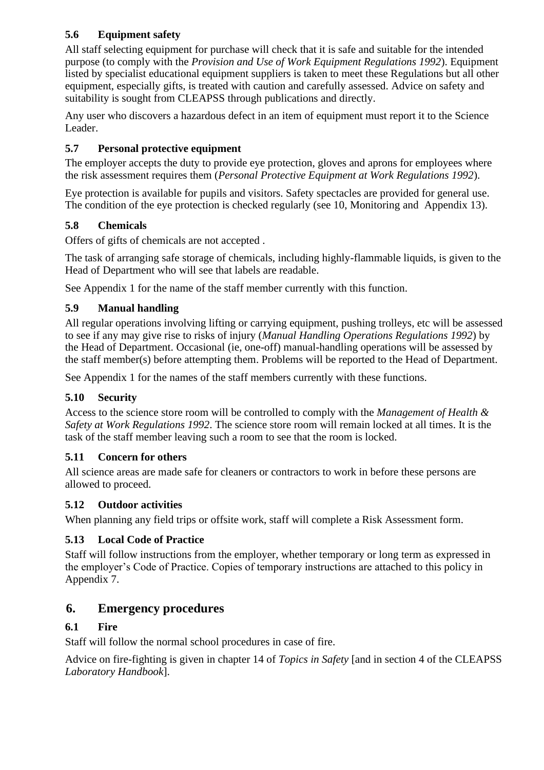### **5.6 Equipment safety**

All staff selecting equipment for purchase will check that it is safe and suitable for the intended purpose (to comply with the *Provision and Use of Work Equipment Regulations 1992*). Equipment listed by specialist educational equipment suppliers is taken to meet these Regulations but all other equipment, especially gifts, is treated with caution and carefully assessed. Advice on safety and suitability is sought from CLEAPSS through publications and directly.

Any user who discovers a hazardous defect in an item of equipment must report it to the Science Leader.

### **5.7 Personal protective equipment**

The employer accepts the duty to provide eye protection, gloves and aprons for employees where the risk assessment requires them (*Personal Protective Equipment at Work Regulations 1992*).

Eye protection is available for pupils and visitors. Safety spectacles are provided for general use. The condition of the eye protection is checked regularly (see 10, Monitoring and Appendix 13).

### **5.8 Chemicals**

Offers of gifts of chemicals are not accepted .

The task of arranging safe storage of chemicals, including highly-flammable liquids, is given to the Head of Department who will see that labels are readable.

See Appendix 1 for the name of the staff member currently with this function.

### **5.9 Manual handling**

All regular operations involving lifting or carrying equipment, pushing trolleys, etc will be assessed to see if any may give rise to risks of injury (*Manual Handling Operations Regulations 1992*) by the Head of Department. Occasional (ie, one-off) manual-handling operations will be assessed by the staff member(s) before attempting them. Problems will be reported to the Head of Department.

See Appendix 1 for the names of the staff members currently with these functions.

### **5.10 Security**

Access to the science store room will be controlled to comply with the *Management of Health & Safety at Work Regulations 1992*. The science store room will remain locked at all times. It is the task of the staff member leaving such a room to see that the room is locked.

### **5.11 Concern for others**

All science areas are made safe for cleaners or contractors to work in before these persons are allowed to proceed.

### **5.12 Outdoor activities**

When planning any field trips or offsite work, staff will complete a Risk Assessment form.

### **5.13 Local Code of Practice**

Staff will follow instructions from the employer, whether temporary or long term as expressed in the employer's Code of Practice. Copies of temporary instructions are attached to this policy in Appendix 7.

# **6. Emergency procedures**

### **6.1 Fire**

Staff will follow the normal school procedures in case of fire.

Advice on fire-fighting is given in chapter 14 of *Topics in Safety* [and in section 4 of the CLEAPSS *Laboratory Handbook*].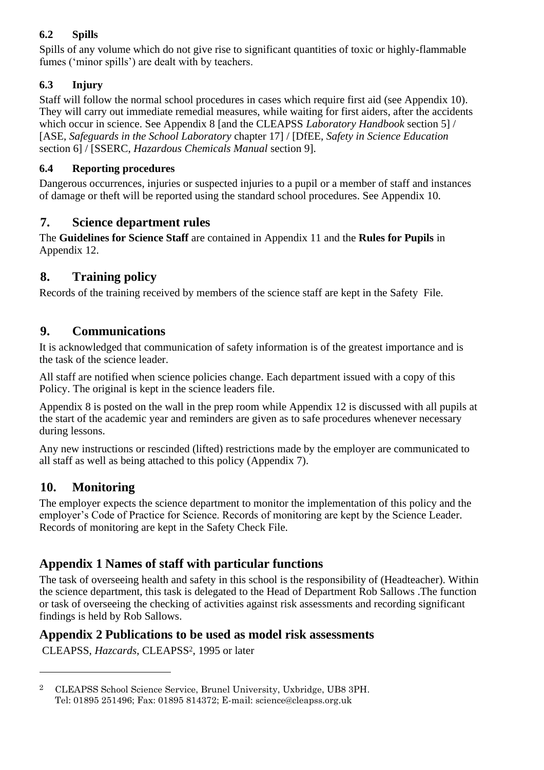# **6.2 Spills**

Spills of any volume which do not give rise to significant quantities of toxic or highly-flammable fumes ('minor spills') are dealt with by teachers.

# **6.3 Injury**

Staff will follow the normal school procedures in cases which require first aid (see Appendix 10). They will carry out immediate remedial measures, while waiting for first aiders, after the accidents which occur in science. See Appendix 8 [and the CLEAPSS *Laboratory Handbook* section 5] / [ASE, *Safeguards in the School Laboratory* chapter 17] / [DfEE, *Safety in Science Education* section 6] / [SSERC, *Hazardous Chemicals Manual* section 9].

### **6.4 Reporting procedures**

Dangerous occurrences, injuries or suspected injuries to a pupil or a member of staff and instances of damage or theft will be reported using the standard school procedures. See Appendix 10.

# **7. Science department rules**

The **Guidelines for Science Staff** are contained in Appendix 11 and the **Rules for Pupils** in Appendix 12.

# **8. Training policy**

Records of the training received by members of the science staff are kept in the Safety File.

# **9. Communications**

It is acknowledged that communication of safety information is of the greatest importance and is the task of the science leader.

All staff are notified when science policies change. Each department issued with a copy of this Policy. The original is kept in the science leaders file.

Appendix 8 is posted on the wall in the prep room while Appendix 12 is discussed with all pupils at the start of the academic year and reminders are given as to safe procedures whenever necessary during lessons.

Any new instructions or rescinded (lifted) restrictions made by the employer are communicated to all staff as well as being attached to this policy (Appendix 7).

# **10. Monitoring**

The employer expects the science department to monitor the implementation of this policy and the employer's Code of Practice for Science. Records of monitoring are kept by the Science Leader. Records of monitoring are kept in the Safety Check File.

# **Appendix 1 Names of staff with particular functions**

The task of overseeing health and safety in this school is the responsibility of (Headteacher). Within the science department, this task is delegated to the Head of Department Rob Sallows .The function or task of overseeing the checking of activities against risk assessments and recording significant findings is held by Rob Sallows.

# **Appendix 2 Publications to be used as model risk assessments**

CLEAPSS, *Hazcards*, CLEAPSS2, 1995 or later

<sup>2</sup> CLEAPSS School Science Service, Brunel University, Uxbridge, UB8 3PH. Tel: 01895 251496; Fax: 01895 814372; E-mail: science@cleapss.org.uk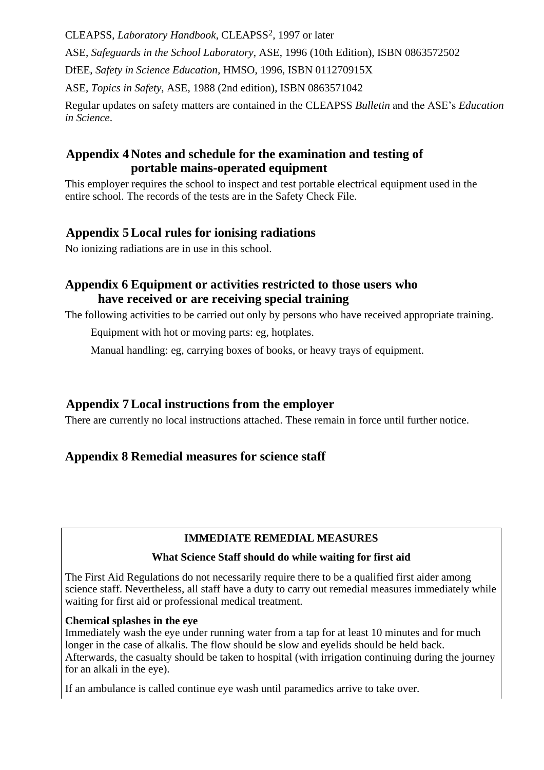CLEAPSS, *Laboratory Handbook*, CLEAPSS2, 1997 or later

ASE, *Safeguards in the School Laboratory*, ASE, 1996 (10th Edition), ISBN 0863572502

DfEE, *Safety in Science Education,* HMSO, 1996, ISBN 011270915X

ASE, *Topics in Safety*, ASE, 1988 (2nd edition), ISBN 0863571042

Regular updates on safety matters are contained in the CLEAPSS *Bulletin* and the ASE's *Education in Science*.

# **Appendix 4 Notes and schedule for the examination and testing of portable mains-operated equipment**

This employer requires the school to inspect and test portable electrical equipment used in the entire school. The records of the tests are in the Safety Check File.

# **Appendix 5Local rules for ionising radiations**

No ionizing radiations are in use in this school.

# **Appendix 6 Equipment or activities restricted to those users who have received or are receiving special training**

The following activities to be carried out only by persons who have received appropriate training.

Equipment with hot or moving parts: eg, hotplates.

Manual handling: eg, carrying boxes of books, or heavy trays of equipment.

# **Appendix 7Local instructions from the employer**

There are currently no local instructions attached. These remain in force until further notice.

# **Appendix 8 Remedial measures for science staff**

### **IMMEDIATE REMEDIAL MEASURES**

### **What Science Staff should do while waiting for first aid**

The First Aid Regulations do not necessarily require there to be a qualified first aider among science staff. Nevertheless, all staff have a duty to carry out remedial measures immediately while waiting for first aid or professional medical treatment.

### **Chemical splashes in the eye**

Immediately wash the eye under running water from a tap for at least 10 minutes and for much longer in the case of alkalis. The flow should be slow and eyelids should be held back. Afterwards, the casualty should be taken to hospital (with irrigation continuing during the journey for an alkali in the eye).

If an ambulance is called continue eye wash until paramedics arrive to take over.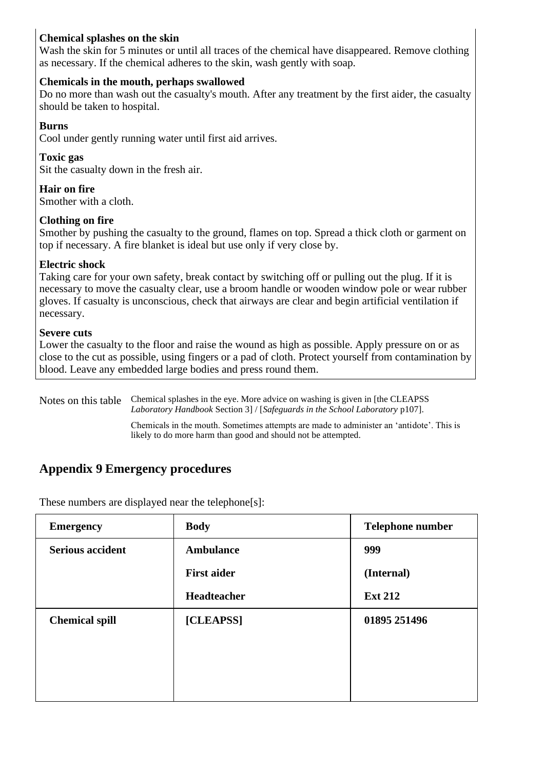### **Chemical splashes on the skin**

Wash the skin for 5 minutes or until all traces of the chemical have disappeared. Remove clothing as necessary. If the chemical adheres to the skin, wash gently with soap.

### **Chemicals in the mouth, perhaps swallowed**

Do no more than wash out the casualty's mouth. After any treatment by the first aider, the casualty should be taken to hospital.

#### **Burns**

Cool under gently running water until first aid arrives.

### **Toxic gas**

Sit the casualty down in the fresh air.

### **Hair on fire**

Smother with a cloth.

### **Clothing on fire**

Smother by pushing the casualty to the ground, flames on top. Spread a thick cloth or garment on top if necessary. A fire blanket is ideal but use only if very close by.

### **Electric shock**

Taking care for your own safety, break contact by switching off or pulling out the plug. If it is necessary to move the casualty clear, use a broom handle or wooden window pole or wear rubber gloves. If casualty is unconscious, check that airways are clear and begin artificial ventilation if necessary.

### **Severe cuts**

Lower the casualty to the floor and raise the wound as high as possible. Apply pressure on or as close to the cut as possible, using fingers or a pad of cloth. Protect yourself from contamination by blood. Leave any embedded large bodies and press round them.

Notes on this table Chemical splashes in the eye. More advice on washing is given in [the CLEAPSS *Laboratory Handbook* Section 3] / [*Safeguards in the School Laboratory* p107].

> Chemicals in the mouth. Sometimes attempts are made to administer an 'antidote'. This is likely to do more harm than good and should not be attempted.

# **Appendix 9 Emergency procedures**

These numbers are displayed near the telephone[s]:

| <b>Emergency</b>        | <b>Body</b>        | <b>Telephone number</b> |
|-------------------------|--------------------|-------------------------|
| <b>Serious accident</b> | <b>Ambulance</b>   | 999                     |
|                         | <b>First aider</b> | (Internal)              |
|                         | Headteacher        | <b>Ext 212</b>          |
| <b>Chemical spill</b>   | [CLEAPSS]          | 01895 251496            |
|                         |                    |                         |
|                         |                    |                         |
|                         |                    |                         |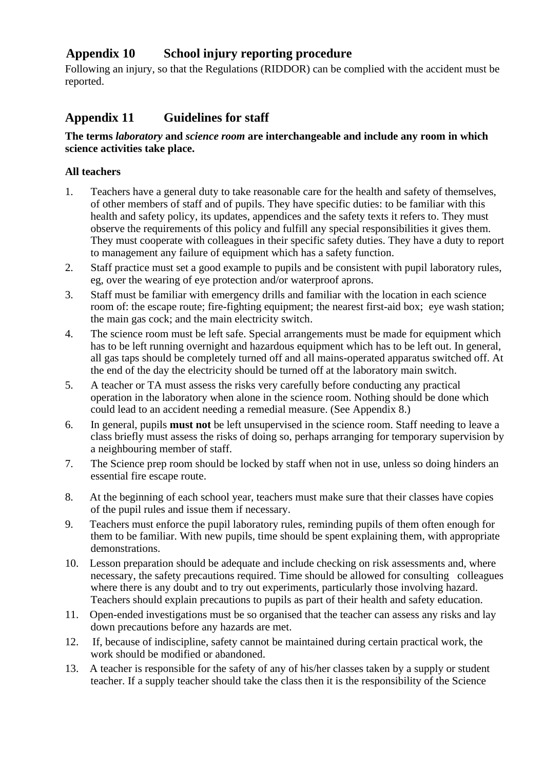# **Appendix 10 School injury reporting procedure**

Following an injury, so that the Regulations (RIDDOR) can be complied with the accident must be reported.

# **Appendix 11 Guidelines for staff**

#### **The terms** *laboratory* **and** *science room* **are interchangeable and include any room in which science activities take place.**

#### **All teachers**

- 1. Teachers have a general duty to take reasonable care for the health and safety of themselves, of other members of staff and of pupils. They have specific duties: to be familiar with this health and safety policy, its updates, appendices and the safety texts it refers to. They must observe the requirements of this policy and fulfill any special responsibilities it gives them. They must cooperate with colleagues in their specific safety duties. They have a duty to report to management any failure of equipment which has a safety function.
- 2. Staff practice must set a good example to pupils and be consistent with pupil laboratory rules, eg, over the wearing of eye protection and/or waterproof aprons.
- 3. Staff must be familiar with emergency drills and familiar with the location in each science room of: the escape route; fire-fighting equipment; the nearest first-aid box; eye wash station; the main gas cock; and the main electricity switch.
- 4. The science room must be left safe. Special arrangements must be made for equipment which has to be left running overnight and hazardous equipment which has to be left out. In general, all gas taps should be completely turned off and all mains-operated apparatus switched off. At the end of the day the electricity should be turned off at the laboratory main switch.
- 5. A teacher or TA must assess the risks very carefully before conducting any practical operation in the laboratory when alone in the science room. Nothing should be done which could lead to an accident needing a remedial measure. (See Appendix 8.)
- 6. In general, pupils **must not** be left unsupervised in the science room. Staff needing to leave a class briefly must assess the risks of doing so, perhaps arranging for temporary supervision by a neighbouring member of staff.
- 7. The Science prep room should be locked by staff when not in use, unless so doing hinders an essential fire escape route.
- 8. At the beginning of each school year, teachers must make sure that their classes have copies of the pupil rules and issue them if necessary.
- 9. Teachers must enforce the pupil laboratory rules, reminding pupils of them often enough for them to be familiar. With new pupils, time should be spent explaining them, with appropriate demonstrations.
- 10. Lesson preparation should be adequate and include checking on risk assessments and, where necessary, the safety precautions required. Time should be allowed for consulting colleagues where there is any doubt and to try out experiments, particularly those involving hazard. Teachers should explain precautions to pupils as part of their health and safety education.
- 11. Open-ended investigations must be so organised that the teacher can assess any risks and lay down precautions before any hazards are met.
- 12. If, because of indiscipline, safety cannot be maintained during certain practical work, the work should be modified or abandoned.
- 13. A teacher is responsible for the safety of any of his/her classes taken by a supply or student teacher. If a supply teacher should take the class then it is the responsibility of the Science